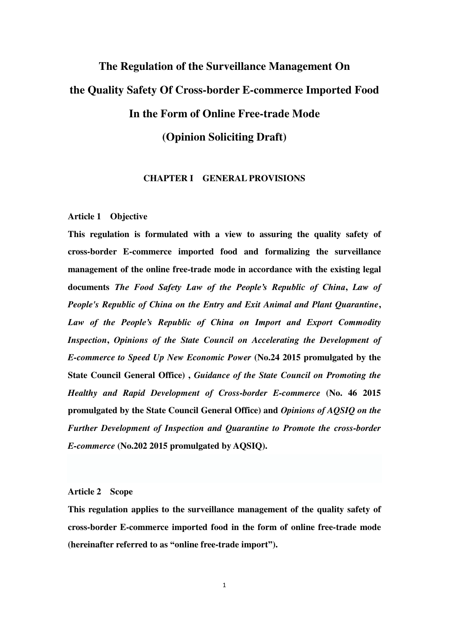# **The Regulation of the Surveillance Management On the Quality Safety Of Cross-border E-commerce Imported Food In the Form of Online Free-trade Mode (Opinion Soliciting Draft)**

# **CHAPTER I GENERAL PROVISIONS**

#### **Article 1 Objective**

**This regulation is formulated with a view to assuring the quality safety of cross-border E-commerce imported food and formalizing the surveillance management of the online free-trade mode in accordance with the existing legal documents** *The Food Safety Law of the People's Republic of China***,** *Law of People's Republic of China on the Entry and Exit Animal and Plant Quarantine***,**  *Law of the People's Republic of China on Import and Export Commodity Inspection***,** *Opinions of the State Council on Accelerating the Development of E-commerce to Speed Up New Economic Power* **(No.24 2015 promulgated by the State Council General Office) ,** *Guidance of the State Council on Promoting the Healthy and Rapid Development of Cross-border E-commerce* **(No. 46 2015 promulgated by the State Council General Office) and** *Opinions of AQSIQ on the Further Development of Inspection and Quarantine to Promote the cross-border E-commerce* **(No.202 2015 promulgated by AQSIQ).** 

# **Article 2 Scope**

**This regulation applies to the surveillance management of the quality safety of cross-border E-commerce imported food in the form of online free-trade mode (hereinafter referred to as "online free-trade import").**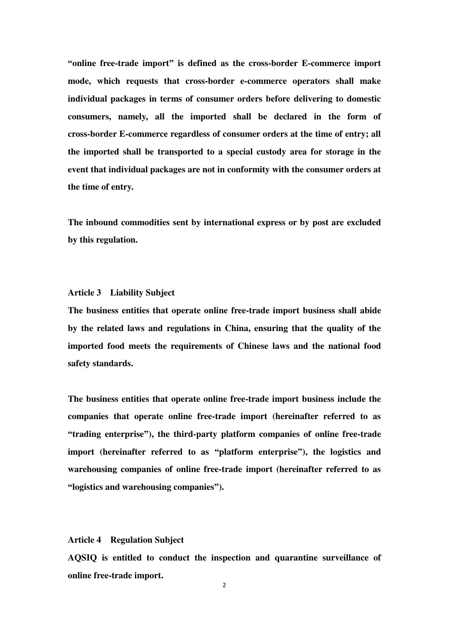**"online free-trade import" is defined as the cross-border E-commerce import mode, which requests that cross-border e-commerce operators shall make individual packages in terms of consumer orders before delivering to domestic consumers, namely, all the imported shall be declared in the form of cross-border E-commerce regardless of consumer orders at the time of entry; all the imported shall be transported to a special custody area for storage in the event that individual packages are not in conformity with the consumer orders at the time of entry.** 

**The inbound commodities sent by international express or by post are excluded by this regulation.** 

### **Article 3 Liability Subject**

**The business entities that operate online free-trade import business shall abide by the related laws and regulations in China, ensuring that the quality of the imported food meets the requirements of Chinese laws and the national food safety standards.** 

**The business entities that operate online free-trade import business include the companies that operate online free-trade import (hereinafter referred to as "trading enterprise"), the third-party platform companies of online free-trade import (hereinafter referred to as "platform enterprise"), the logistics and warehousing companies of online free-trade import (hereinafter referred to as "logistics and warehousing companies").** 

# **Article 4 Regulation Subject**

**AQSIQ is entitled to conduct the inspection and quarantine surveillance of online free-trade import.**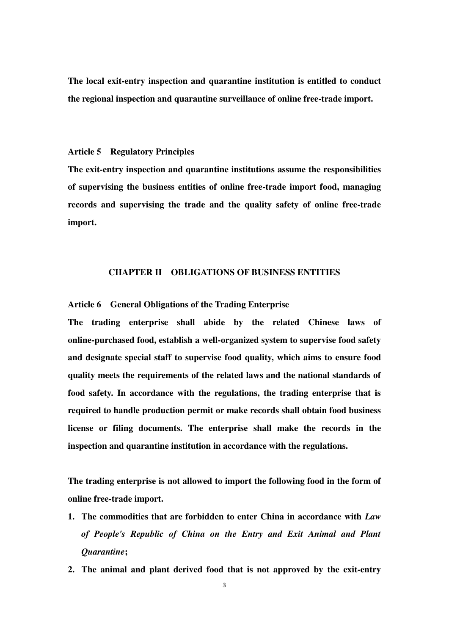**The local exit-entry inspection and quarantine institution is entitled to conduct the regional inspection and quarantine surveillance of online free-trade import.** 

#### **Article 5 Regulatory Principles**

**The exit-entry inspection and quarantine institutions assume the responsibilities of supervising the business entities of online free-trade import food, managing records and supervising the trade and the quality safety of online free-trade import.** 

# **CHAPTER II OBLIGATIONS OF BUSINESS ENTITIES**

**Article 6 General Obligations of the Trading Enterprise** 

**The trading enterprise shall abide by the related Chinese laws of online-purchased food, establish a well-organized system to supervise food safety and designate special staff to supervise food quality, which aims to ensure food quality meets the requirements of the related laws and the national standards of food safety. In accordance with the regulations, the trading enterprise that is required to handle production permit or make records shall obtain food business license or filing documents. The enterprise shall make the records in the inspection and quarantine institution in accordance with the regulations.** 

**The trading enterprise is not allowed to import the following food in the form of online free-trade import.** 

- **1. The commodities that are forbidden to enter China in accordance with** *Law of People's Republic of China on the Entry and Exit Animal and Plant Quarantine***;**
- **2. The animal and plant derived food that is not approved by the exit-entry**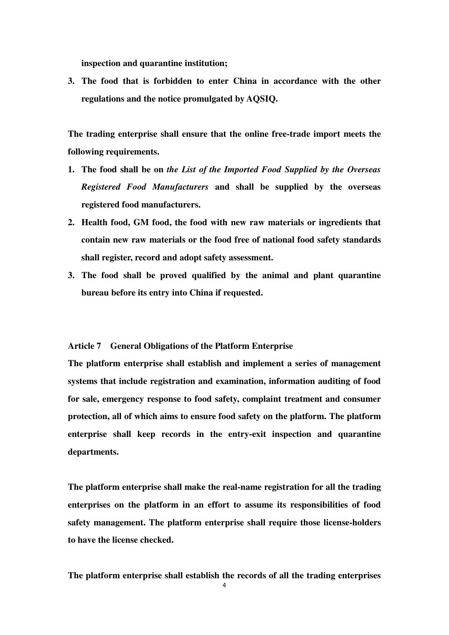**inspection and quarantine institution;** 

**3. The food that is forbidden to enter China in accordance with the other regulations and the notice promulgated by AQSIQ.** 

**The trading enterprise shall ensure that the online free-trade import meets the following requirements.** 

- **1. The food shall be on** *the List of the Imported Food Supplied by the Overseas Registered Food Manufacturers* **and shall be supplied by the overseas registered food manufacturers.**
- **2. Health food, GM food, the food with new raw materials or ingredients that contain new raw materials or the food free of national food safety standards shall register, record and adopt safety assessment.**
- **3. The food shall be proved qualified by the animal and plant quarantine bureau before its entry into China if requested.**

#### **Article 7 General Obligations of the Platform Enterprise**

**The platform enterprise shall establish and implement a series of management systems that include registration and examination, information auditing of food for sale, emergency response to food safety, complaint treatment and consumer protection, all of which aims to ensure food safety on the platform. The platform enterprise shall keep records in the entry-exit inspection and quarantine departments.** 

**The platform enterprise shall make the real-name registration for all the trading enterprises on the platform in an effort to assume its responsibilities of food safety management. The platform enterprise shall require those license-holders to have the license checked.** 

**The platform enterprise shall establish the records of all the trading enterprises**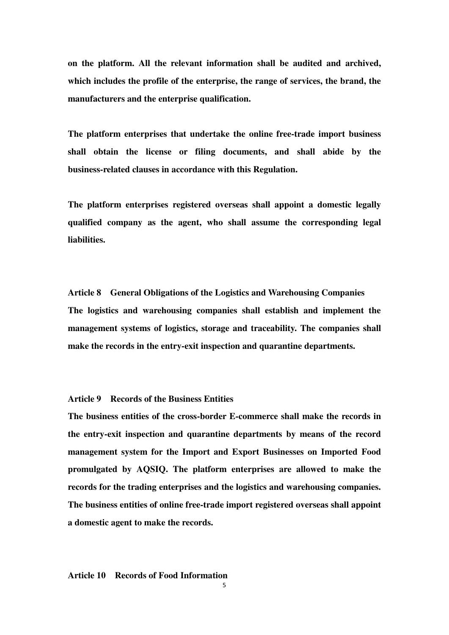**on the platform. All the relevant information shall be audited and archived, which includes the profile of the enterprise, the range of services, the brand, the manufacturers and the enterprise qualification.** 

**The platform enterprises that undertake the online free-trade import business shall obtain the license or filing documents, and shall abide by the business-related clauses in accordance with this Regulation.** 

**The platform enterprises registered overseas shall appoint a domestic legally qualified company as the agent, who shall assume the corresponding legal liabilities.** 

**Article 8 General Obligations of the Logistics and Warehousing Companies The logistics and warehousing companies shall establish and implement the management systems of logistics, storage and traceability. The companies shall make the records in the entry-exit inspection and quarantine departments.** 

#### **Article 9 Records of the Business Entities**

**The business entities of the cross-border E-commerce shall make the records in the entry-exit inspection and quarantine departments by means of the record management system for the Import and Export Businesses on Imported Food promulgated by AQSIQ. The platform enterprises are allowed to make the records for the trading enterprises and the logistics and warehousing companies. The business entities of online free-trade import registered overseas shall appoint a domestic agent to make the records.** 

#### **Article 10 Records of Food Information**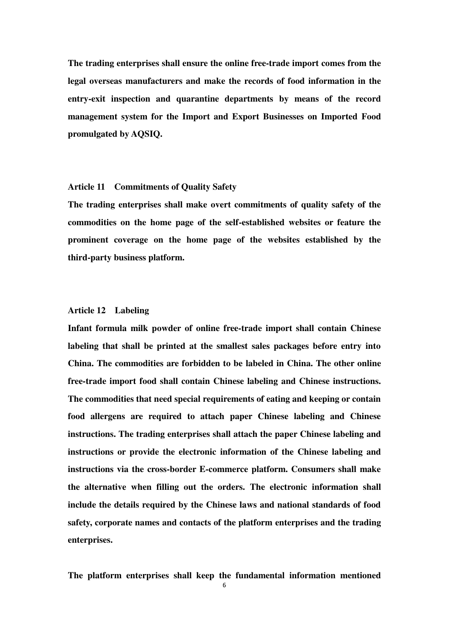**The trading enterprises shall ensure the online free-trade import comes from the legal overseas manufacturers and make the records of food information in the entry-exit inspection and quarantine departments by means of the record management system for the Import and Export Businesses on Imported Food promulgated by AQSIQ.** 

# **Article 11 Commitments of Quality Safety**

**The trading enterprises shall make overt commitments of quality safety of the commodities on the home page of the self-established websites or feature the prominent coverage on the home page of the websites established by the third-party business platform.** 

### **Article 12 Labeling**

**Infant formula milk powder of online free-trade import shall contain Chinese labeling that shall be printed at the smallest sales packages before entry into China. The commodities are forbidden to be labeled in China. The other online free-trade import food shall contain Chinese labeling and Chinese instructions. The commodities that need special requirements of eating and keeping or contain food allergens are required to attach paper Chinese labeling and Chinese instructions. The trading enterprises shall attach the paper Chinese labeling and instructions or provide the electronic information of the Chinese labeling and instructions via the cross-border E-commerce platform. Consumers shall make the alternative when filling out the orders. The electronic information shall include the details required by the Chinese laws and national standards of food safety, corporate names and contacts of the platform enterprises and the trading enterprises.** 

**The platform enterprises shall keep the fundamental information mentioned**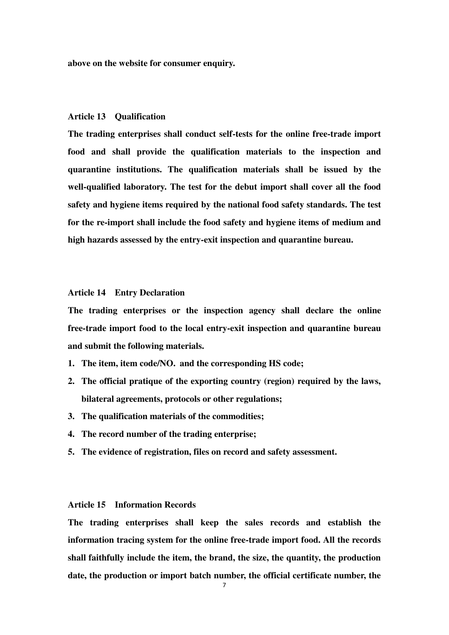**above on the website for consumer enquiry.** 

#### **Article 13 Qualification**

**The trading enterprises shall conduct self-tests for the online free-trade import food and shall provide the qualification materials to the inspection and quarantine institutions. The qualification materials shall be issued by the well-qualified laboratory. The test for the debut import shall cover all the food safety and hygiene items required by the national food safety standards. The test for the re-import shall include the food safety and hygiene items of medium and high hazards assessed by the entry-exit inspection and quarantine bureau.** 

#### **Article 14 Entry Declaration**

**The trading enterprises or the inspection agency shall declare the online free-trade import food to the local entry-exit inspection and quarantine bureau and submit the following materials.** 

- **1. The item, item code/NO. and the corresponding HS code;**
- **2. The official pratique of the exporting country (region) required by the laws, bilateral agreements, protocols or other regulations;**
- **3. The qualification materials of the commodities;**
- **4. The record number of the trading enterprise;**
- **5. The evidence of registration, files on record and safety assessment.**

# **Article 15 Information Records**

**The trading enterprises shall keep the sales records and establish the information tracing system for the online free-trade import food. All the records shall faithfully include the item, the brand, the size, the quantity, the production date, the production or import batch number, the official certificate number, the**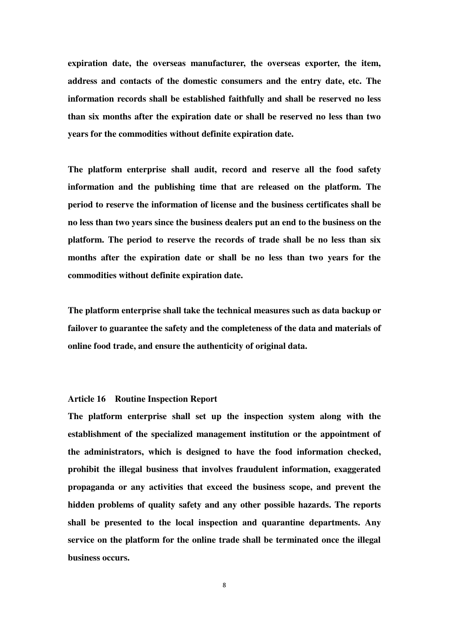**expiration date, the overseas manufacturer, the overseas exporter, the item, address and contacts of the domestic consumers and the entry date, etc. The information records shall be established faithfully and shall be reserved no less than six months after the expiration date or shall be reserved no less than two years for the commodities without definite expiration date.** 

**The platform enterprise shall audit, record and reserve all the food safety information and the publishing time that are released on the platform. The period to reserve the information of license and the business certificates shall be no less than two years since the business dealers put an end to the business on the platform. The period to reserve the records of trade shall be no less than six months after the expiration date or shall be no less than two years for the commodities without definite expiration date.** 

**The platform enterprise shall take the technical measures such as data backup or failover to guarantee the safety and the completeness of the data and materials of online food trade, and ensure the authenticity of original data.** 

#### **Article 16 Routine Inspection Report**

**The platform enterprise shall set up the inspection system along with the establishment of the specialized management institution or the appointment of the administrators, which is designed to have the food information checked, prohibit the illegal business that involves fraudulent information, exaggerated propaganda or any activities that exceed the business scope, and prevent the hidden problems of quality safety and any other possible hazards. The reports shall be presented to the local inspection and quarantine departments. Any service on the platform for the online trade shall be terminated once the illegal business occurs.**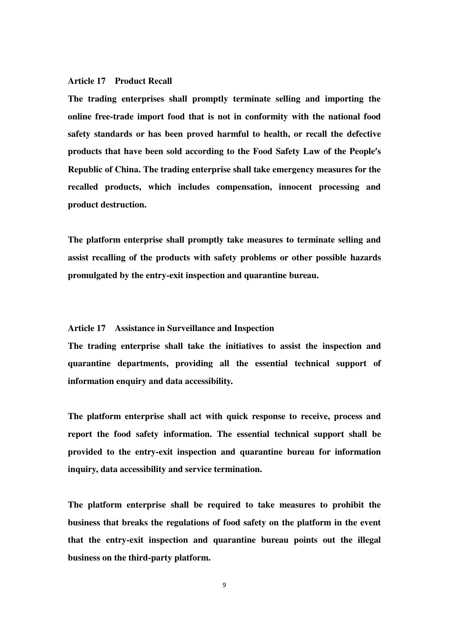#### **Article 17 Product Recall**

**The trading enterprises shall promptly terminate selling and importing the online free-trade import food that is not in conformity with the national food safety standards or has been proved harmful to health, or recall the defective products that have been sold according to the Food Safety Law of the People's Republic of China. The trading enterprise shall take emergency measures for the recalled products, which includes compensation, innocent processing and product destruction.** 

**The platform enterprise shall promptly take measures to terminate selling and assist recalling of the products with safety problems or other possible hazards promulgated by the entry-exit inspection and quarantine bureau.** 

# **Article 17 Assistance in Surveillance and Inspection**

**The trading enterprise shall take the initiatives to assist the inspection and quarantine departments, providing all the essential technical support of information enquiry and data accessibility.** 

**The platform enterprise shall act with quick response to receive, process and report the food safety information. The essential technical support shall be provided to the entry-exit inspection and quarantine bureau for information inquiry, data accessibility and service termination.** 

**The platform enterprise shall be required to take measures to prohibit the business that breaks the regulations of food safety on the platform in the event that the entry-exit inspection and quarantine bureau points out the illegal business on the third-party platform.**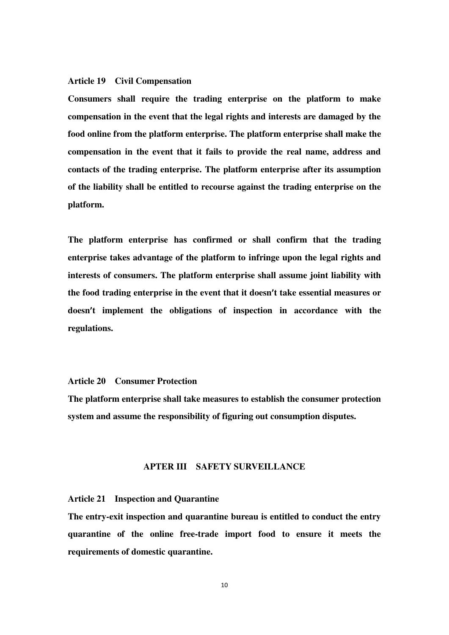#### **Article 19 Civil Compensation**

**Consumers shall require the trading enterprise on the platform to make compensation in the event that the legal rights and interests are damaged by the food online from the platform enterprise. The platform enterprise shall make the compensation in the event that it fails to provide the real name, address and contacts of the trading enterprise. The platform enterprise after its assumption of the liability shall be entitled to recourse against the trading enterprise on the platform.** 

**The platform enterprise has confirmed or shall confirm that the trading enterprise takes advantage of the platform to infringe upon the legal rights and interests of consumers. The platform enterprise shall assume joint liability with the food trading enterprise in the event that it doesn't take essential measures or doesn't implement the obligations of inspection in accordance with the regulations.** 

### **Article 20 Consumer Protection**

**The platform enterprise shall take measures to establish the consumer protection system and assume the responsibility of figuring out consumption disputes.** 

# **APTER III SAFETY SURVEILLANCE**

# **Article 21 Inspection and Quarantine**

**The entry-exit inspection and quarantine bureau is entitled to conduct the entry quarantine of the online free-trade import food to ensure it meets the requirements of domestic quarantine.**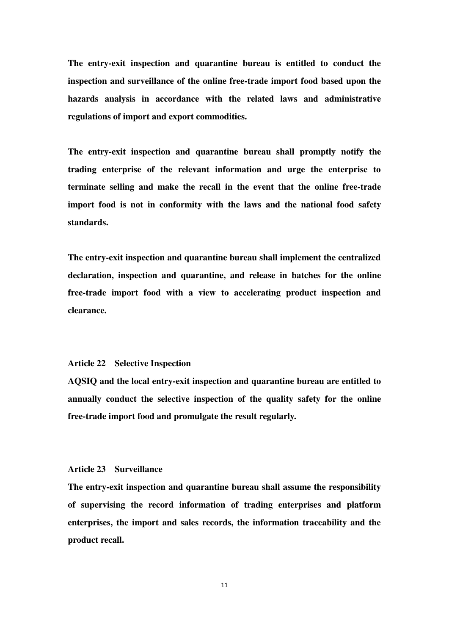**The entry-exit inspection and quarantine bureau is entitled to conduct the inspection and surveillance of the online free-trade import food based upon the hazards analysis in accordance with the related laws and administrative regulations of import and export commodities.** 

**The entry-exit inspection and quarantine bureau shall promptly notify the trading enterprise of the relevant information and urge the enterprise to terminate selling and make the recall in the event that the online free-trade import food is not in conformity with the laws and the national food safety standards.** 

**The entry-exit inspection and quarantine bureau shall implement the centralized declaration, inspection and quarantine, and release in batches for the online free-trade import food with a view to accelerating product inspection and clearance.** 

#### **Article 22 Selective Inspection**

**AQSIQ and the local entry-exit inspection and quarantine bureau are entitled to annually conduct the selective inspection of the quality safety for the online free-trade import food and promulgate the result regularly.** 

#### **Article 23 Surveillance**

**The entry-exit inspection and quarantine bureau shall assume the responsibility of supervising the record information of trading enterprises and platform enterprises, the import and sales records, the information traceability and the product recall.**